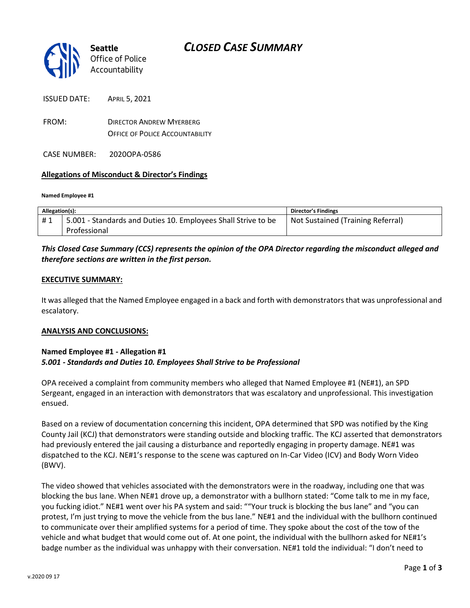# *CLOSED CASE SUMMARY*



ISSUED DATE: APRIL 5, 2021

FROM: DIRECTOR ANDREW MYERBERG OFFICE OF POLICE ACCOUNTABILITY

CASE NUMBER: 2020OPA-0586

#### **Allegations of Misconduct & Director's Findings**

#### **Named Employee #1**

| Allegation(s): |                                                               | Director's Findings               |
|----------------|---------------------------------------------------------------|-----------------------------------|
| #1             | 5.001 - Standards and Duties 10. Employees Shall Strive to be | Not Sustained (Training Referral) |
|                | Professional                                                  |                                   |

### *This Closed Case Summary (CCS) represents the opinion of the OPA Director regarding the misconduct alleged and therefore sections are written in the first person.*

#### **EXECUTIVE SUMMARY:**

It was alleged that the Named Employee engaged in a back and forth with demonstrators that was unprofessional and escalatory.

#### **ANALYSIS AND CONCLUSIONS:**

### **Named Employee #1 - Allegation #1** *5.001 - Standards and Duties 10. Employees Shall Strive to be Professional*

OPA received a complaint from community members who alleged that Named Employee #1 (NE#1), an SPD Sergeant, engaged in an interaction with demonstrators that was escalatory and unprofessional. This investigation ensued.

Based on a review of documentation concerning this incident, OPA determined that SPD was notified by the King County Jail (KCJ) that demonstrators were standing outside and blocking traffic. The KCJ asserted that demonstrators had previously entered the jail causing a disturbance and reportedly engaging in property damage. NE#1 was dispatched to the KCJ. NE#1's response to the scene was captured on In-Car Video (ICV) and Body Worn Video (BWV).

The video showed that vehicles associated with the demonstrators were in the roadway, including one that was blocking the bus lane. When NE#1 drove up, a demonstrator with a bullhorn stated: "Come talk to me in my face, you fucking idiot." NE#1 went over his PA system and said: ""Your truck is blocking the bus lane" and "you can protest, I'm just trying to move the vehicle from the bus lane." NE#1 and the individual with the bullhorn continued to communicate over their amplified systems for a period of time. They spoke about the cost of the tow of the vehicle and what budget that would come out of. At one point, the individual with the bullhorn asked for NE#1's badge number as the individual was unhappy with their conversation. NE#1 told the individual: "I don't need to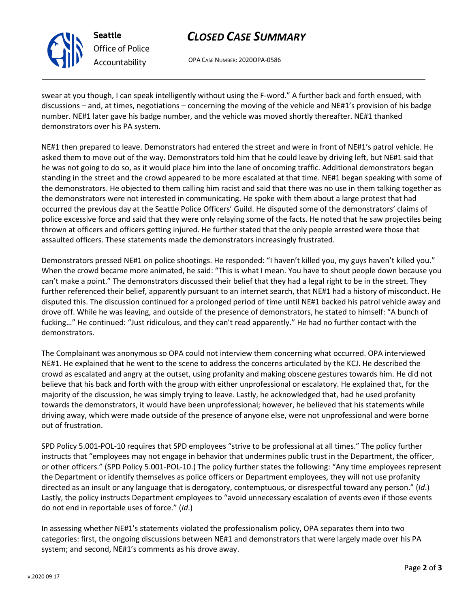

**Seattle** *Office of Police Accountability*

# *CLOSED CASE SUMMARY*

OPA CASE NUMBER: 2020OPA-0586

swear at you though, I can speak intelligently without using the F-word." A further back and forth ensued, with discussions – and, at times, negotiations – concerning the moving of the vehicle and NE#1's provision of his badge number. NE#1 later gave his badge number, and the vehicle was moved shortly thereafter. NE#1 thanked demonstrators over his PA system.

NE#1 then prepared to leave. Demonstrators had entered the street and were in front of NE#1's patrol vehicle. He asked them to move out of the way. Demonstrators told him that he could leave by driving left, but NE#1 said that he was not going to do so, as it would place him into the lane of oncoming traffic. Additional demonstrators began standing in the street and the crowd appeared to be more escalated at that time. NE#1 began speaking with some of the demonstrators. He objected to them calling him racist and said that there was no use in them talking together as the demonstrators were not interested in communicating. He spoke with them about a large protest that had occurred the previous day at the Seattle Police Officers' Guild. He disputed some of the demonstrators' claims of police excessive force and said that they were only relaying some of the facts. He noted that he saw projectiles being thrown at officers and officers getting injured. He further stated that the only people arrested were those that assaulted officers. These statements made the demonstrators increasingly frustrated.

Demonstrators pressed NE#1 on police shootings. He responded: "I haven't killed you, my guys haven't killed you." When the crowd became more animated, he said: "This is what I mean. You have to shout people down because you can't make a point." The demonstrators discussed their belief that they had a legal right to be in the street. They further referenced their belief, apparently pursuant to an internet search, that NE#1 had a history of misconduct. He disputed this. The discussion continued for a prolonged period of time until NE#1 backed his patrol vehicle away and drove off. While he was leaving, and outside of the presence of demonstrators, he stated to himself: "A bunch of fucking…" He continued: "Just ridiculous, and they can't read apparently." He had no further contact with the demonstrators.

The Complainant was anonymous so OPA could not interview them concerning what occurred. OPA interviewed NE#1. He explained that he went to the scene to address the concerns articulated by the KCJ. He described the crowd as escalated and angry at the outset, using profanity and making obscene gestures towards him. He did not believe that his back and forth with the group with either unprofessional or escalatory. He explained that, for the majority of the discussion, he was simply trying to leave. Lastly, he acknowledged that, had he used profanity towards the demonstrators, it would have been unprofessional; however, he believed that his statements while driving away, which were made outside of the presence of anyone else, were not unprofessional and were borne out of frustration.

SPD Policy 5.001-POL-10 requires that SPD employees "strive to be professional at all times." The policy further instructs that "employees may not engage in behavior that undermines public trust in the Department, the officer, or other officers." (SPD Policy 5.001-POL-10.) The policy further states the following: "Any time employees represent the Department or identify themselves as police officers or Department employees, they will not use profanity directed as an insult or any language that is derogatory, contemptuous, or disrespectful toward any person." (*Id*.) Lastly, the policy instructs Department employees to "avoid unnecessary escalation of events even if those events do not end in reportable uses of force." (*Id*.)

In assessing whether NE#1's statements violated the professionalism policy, OPA separates them into two categories: first, the ongoing discussions between NE#1 and demonstrators that were largely made over his PA system; and second, NE#1's comments as his drove away.